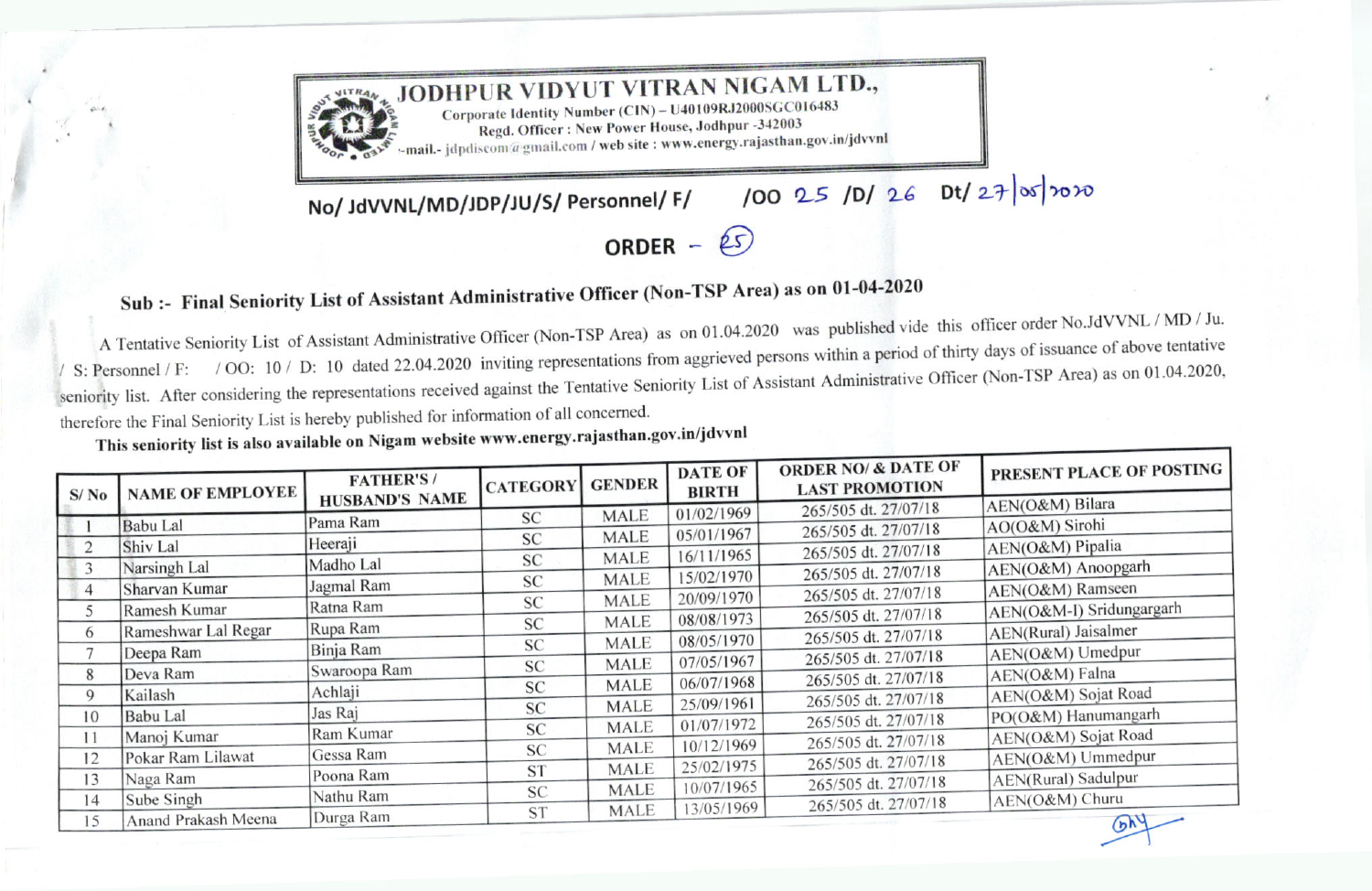

## Sub :- Final Seniority List of Assistant Administrative Officer (Non-TSP Area) as on 01-04-2020

A Tentative Seniority List of Assistant Administrative Officer (Non-TSP Area) as on 01.04.2020 was published vide this officer order No.JdVVNL / MD / Ju. S: Personnel / F: / OO: 10 / D: 10 dated 22.04.2020 inviting representations from aggrieved persons within a period of thirty days of issuance of above tentative seniority list. After considering the representations received against the Tentative Seniority List of Assistant Administrative Officer (Non-TSP Area) as on 01.04.2020, therefore the Final Seniority List is hereby published for information of all concerned.

This seniority list is also available on Nigam website www.energy.rajasthan.gov.in/jdvvnl

| S/N <sub>0</sub> | <b>NAME OF EMPLOYEE</b> | <b>FATHER'S/</b>      | <b>CATEGORY</b> | <b>GENDER</b> | <b>DATE OF</b><br><b>BIRTH</b> | <b>ORDER NO/ &amp; DATE OF</b><br><b>LAST PROMOTION</b> | PRESENT PLACE OF POSTING   |
|------------------|-------------------------|-----------------------|-----------------|---------------|--------------------------------|---------------------------------------------------------|----------------------------|
|                  |                         | <b>HUSBAND'S NAME</b> |                 | <b>MALE</b>   | 01/02/1969                     | 265/505 dt. 27/07/18                                    | AEN(O&M) Bilara            |
|                  | <b>Babu</b> Lal         | Pama Ram              | <b>SC</b>       |               | 05/01/1967                     | 265/505 dt. 27/07/18                                    | AO(O&M) Sirohi             |
| $\overline{2}$   | Shiv Lal                | Heeraji               | <b>SC</b>       | <b>MALE</b>   |                                | 265/505 dt. 27/07/18                                    | AEN(O&M) Pipalia           |
| 3                | Narsingh Lal            | Madho Lal             | <b>SC</b>       | MALE          | 16/11/1965                     | 265/505 dt. 27/07/18                                    | AEN(O&M) Anoopgarh         |
| 4                | Sharvan Kumar           | Jagmal Ram            | <b>SC</b>       | <b>MALE</b>   | 15/02/1970                     |                                                         | AEN(O&M) Ramseen           |
| 5.               | Ramesh Kumar            | Ratna Ram             | <b>SC</b>       | <b>MALE</b>   | 20/09/1970                     | 265/505 dt. 27/07/18                                    | AEN(O&M-I) Sridungargarh   |
|                  |                         | Rupa Ram              | <b>SC</b>       | <b>MALE</b>   | 08/08/1973                     | 265/505 dt. 27/07/18                                    |                            |
| 6                | Rameshwar Lal Regar     |                       | <b>SC</b>       | <b>MALE</b>   | 08/05/1970                     | 265/505 dt. 27/07/18                                    | AEN(Rural) Jaisalmer       |
|                  | Deepa Ram               | Binja Ram             | <b>SC</b>       | <b>MALE</b>   | 07/05/1967                     | 265/505 dt. 27/07/18                                    | AEN(O&M) Umedpur           |
| 8                | Deva Ram                | Swaroopa Ram          |                 | <b>MALE</b>   | 06/07/1968                     | 265/505 dt. 27/07/18                                    | AEN(O&M) Falna             |
| 9                | Kailash                 | Achlaji               | <b>SC</b>       |               | 25/09/1961                     | 265/505 dt. 27/07/18                                    | AEN(O&M) Sojat Road        |
| 10               | <b>Babu</b> Lal         | Jas Raj               | <b>SC</b>       | <b>MALE</b>   |                                | 265/505 dt. 27/07/18                                    | PO(O&M) Hanumangarh        |
| 11               | Manoj Kumar             | Ram Kumar             | <b>SC</b>       | <b>MALE</b>   | 01/07/1972                     | 265/505 dt. 27/07/18                                    | AEN(O&M) Sojat Road        |
| 12               | Pokar Ram Lilawat       | Gessa Ram             | <b>SC</b>       | <b>MALE</b>   | 10/12/1969                     |                                                         | AEN(O&M) Ummedpur          |
| 13               | Naga Ram                | Poona Ram             | <b>ST</b>       | <b>MALE</b>   | 25/02/1975                     | 265/505 dt. 27/07/18                                    | <b>AEN(Rural)</b> Sadulpur |
|                  |                         | Nathu Ram             | <b>SC</b>       | <b>MALE</b>   | 10/07/1965                     | 265/505 dt. 27/07/18                                    |                            |
| 14               | Sube Singh              | Durga Ram             | <b>ST</b>       | <b>MALE</b>   | 13/05/1969                     | 265/505 dt. 27/07/18                                    | AEN(O&M) Churu             |
| 15               | Anand Prakash Meena     |                       |                 |               |                                |                                                         | 6h <sup>4</sup>            |